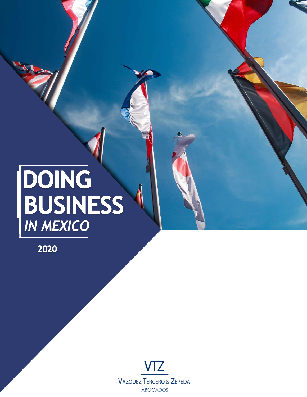# DOING<br>BUSINESS

2020

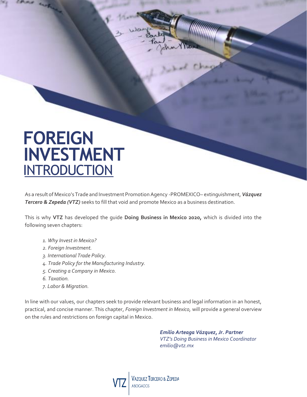# **FOREIGN INTRODUCTION INVESTMENT**

As a result of Mexico's Trade and Investment Promotion Agency -PROMEXICO– extinguishment, *Vázquez Tercero & Zepeda (VTZ)* seeks to fill that void and promote Mexico as a business destination.

This is why **VTZ** has developed the guide **Doing Business in Mexico 2020,** which is divided into the following seven chapters:

- *1. Why Invest in Mexico?*
- *2. Foreign Investment.*
- *3. International Trade Policy.*
- *4. Trade Policy for the Manufacturing Industry.*
- *5. Creating a Company in Mexico.*
- *6. Taxation.*
- *7. Labor & Migration.*

In line with our values, our chapters seek to provide relevant business and legal information in an honest, practical, and concise manner. This chapter, *Foreign Investment in Mexico,* will provide a general overview on the rules and restrictions on foreign capital in Mexico.

> *Emilio Arteaga Vázquez, Jr. Partner VTZ's Doing Business in Mexico Coordinator emilio@vtz.mx*

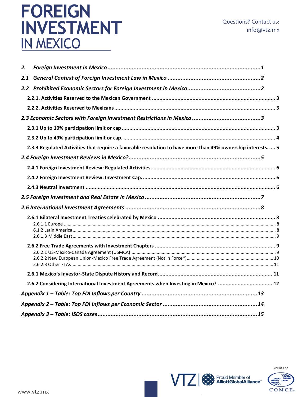| 2.  |                                                                                                            |
|-----|------------------------------------------------------------------------------------------------------------|
| 2.1 |                                                                                                            |
|     |                                                                                                            |
|     |                                                                                                            |
|     |                                                                                                            |
|     |                                                                                                            |
|     |                                                                                                            |
|     |                                                                                                            |
|     | 2.3.3 Regulated Activities that require a favorable resolution to have more than 49% ownership interests 5 |
|     |                                                                                                            |
|     |                                                                                                            |
|     |                                                                                                            |
|     |                                                                                                            |
|     |                                                                                                            |
|     |                                                                                                            |
|     |                                                                                                            |
|     |                                                                                                            |
|     |                                                                                                            |
|     |                                                                                                            |
|     | 2.6.2 Considering International Investment Agreements when Investing in Mexico?  12                        |
|     |                                                                                                            |
|     |                                                                                                            |

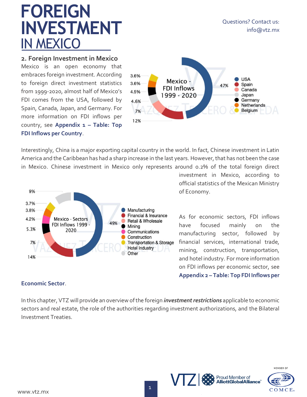Questions? Contact us: info@vtz.mx

#### <span id="page-3-0"></span>**2. Foreign Investment in Mexico**

Mexico is an open economy that embraces foreign investment. According to foreign direct investment statistics from 1999-2020, almost half of Mexico's FDI comes from the USA, followed by Spain, Canada, Japan, and Germany. For more information on FDI inflows per country, see **[Appendix 1](#page-15-0) – Table: Top [FDI Inflows per Country](#page-15-0)**.



Interestingly, China is a major exporting capital country in the world. In fact, Chinese investment in Latin America and the Caribbean has had a sharp increase in the last years. However, that has not been the case in Mexico. Chinese investment in Mexico only represents around 0.2% of the total foreign direct



investment in Mexico, according to official statistics of the Mexican Ministry of Economy.

As for economic sectors, FDI inflows have focused mainly on the manufacturing sector, followed by financial services, international trade, mining, construction, transportation, and hotel industry. For more information on FDI inflows per economic sector, see **Appendix 2 – [Table: Top FDI Inflows per](#page-16-0)** 

> **Proud Member of AlliottGlobalAlliance**<sup>®</sup>

#### **[Economic Sector](#page-16-0)**.

In this chapter, VTZ will provide an overview of the foreign *investment restrictions* applicable to economic sectors and real estate, the role of the authorities regarding investment authorizations, and the Bilateral Investment Treaties.

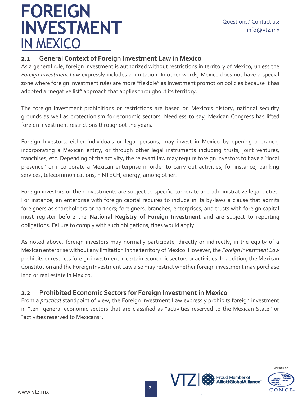### Questions? Contact us: info@vtz.mx

# **FOREIGN** IN MEXICO **INVESTMENT**

## <span id="page-4-0"></span>**2.1 General Context of Foreign Investment Law in Mexico**

As a general rule, foreign investment is authorized without restrictions in territory of Mexico, unless the *Foreign Investment Law* expressly includes a limitation. In other words, Mexico does not have a special zone where foreign investment rules are more "flexible" as investment promotion policies because it has adopted a "negative list" approach that applies throughout its territory.

The foreign investment prohibitions or restrictions are based on Mexico's history, national security grounds as well as protectionism for economic sectors. Needless to say, Mexican Congress has lifted foreign investment restrictions throughout the years.

Foreign Investors, either individuals or legal persons, may invest in Mexico by opening a branch, incorporating a Mexican entity, or through other legal instruments including trusts, joint ventures, franchises, etc. Depending of the activity, the relevant law may require foreign investors to have a "local presence" or incorporate a Mexican enterprise in order to carry out activities, for instance, banking services, telecommunications, FINTECH, energy, among other.

Foreign investors or their investments are subject to specific corporate and administrative legal duties. For instance, an enterprise with foreign capital requires to include in its by-laws a clause that admits foreigners as shareholders or partners; foreigners, branches, enterprises, and trusts with foreign capital must register before the **National Registry of Foreign Investment** and are subject to reporting obligations. Failure to comply with such obligations, fines would apply.

As noted above, foreign investors may normally participate, directly or indirectly, in the equity of a Mexican enterprise without any limitation in the territory of Mexico. However, the *Foreign Investment Law* prohibits or restricts foreign investment in certain economic sectors or activities. In addition, the Mexican Constitution and the Foreign Investment Law also may restrict whether foreign investment may purchase land or real estate in Mexico.

## <span id="page-4-1"></span>**2.2 Prohibited Economic Sectors for Foreign Investment in Mexico**

From a *practical* standpoint of view, the Foreign Investment Law expressly prohibits foreign investment in "ten" general economic sectors that are classified as "activities reserved to the Mexican State" or "activities reserved to Mexicans".



Proud Member of<br>**AlliottGlobalAlliance** 

VIZI \$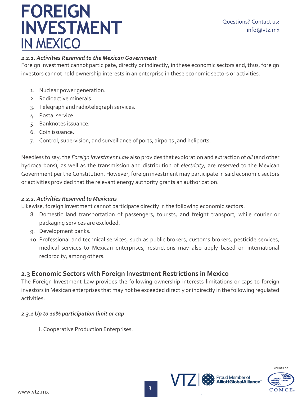Questions? Contact us: info@vtz.mx

#### <span id="page-5-0"></span>*2.2.1. Activities Reserved to the Mexican Government*

Foreign investment cannot participate, directly or indirectly, in these economic sectors and, thus, foreign investors cannot hold ownership interests in an enterprise in these economic sectors or activities.

- 1. Nuclear power generation.
- 2. Radioactive minerals.
- 3. Telegraph and radiotelegraph services.
- 4. Postal service.
- 5. Banknotes issuance.
- 6. Coin issuance.
- 7. Control, supervision, and surveillance of ports, airports ,and heliports.

Needless to say, the *Foreign Investment Law* also provides that exploration and extraction of *oil* (and other hydrocarbons), as well as the transmission and distribution of *electricity,* are reserved to the Mexican Government per the Constitution. However, foreign investment may participate in said economic sectors or activities provided that the relevant energy authority grants an authorization.

#### <span id="page-5-1"></span>*2.2.2. Activities Reserved to Mexicans*

Likewise, foreign investment cannot participate directly in the following economic sectors:

- 8. Domestic land transportation of passengers, tourists, and freight transport, while courier or packaging services are excluded.
- 9. Development banks.
- 10. Professional and technical services, such as public brokers, customs brokers, pesticide services, medical services to Mexican enterprises, restrictions may also apply based on international reciprocity, among others.

#### <span id="page-5-2"></span>**2.3 Economic Sectors with Foreign Investment Restrictions in Mexico**

The Foreign Investment Law provides the following ownership interests limitations or caps to foreign investors in Mexican enterprises that may not be exceeded directly or indirectly in the following regulated activities:

#### <span id="page-5-3"></span>*2.3.1 Up to 10% participation limit or cap*

i. Cooperative Production Enterprises.

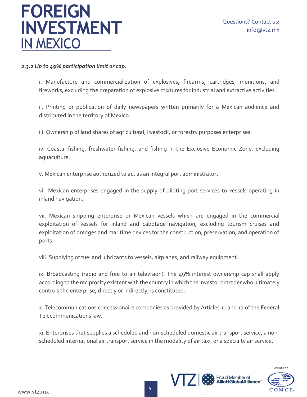#### <span id="page-6-0"></span>*2.3.2 Up to 49% participation limit or cap.*

i. Manufacture and commercialization of explosives, firearms, cartridges, munitions, and fireworks, excluding the preparation of explosive mixtures for industrial and extractive activities.

ii. Printing or publication of daily newspapers written primarily for a Mexican audience and distributed in the territory of Mexico.

iii. Ownership of land shares of agricultural, livestock, or forestry purposes enterprises.

iv. Coastal fishing, freshwater fishing, and fishing in the Exclusive Economic Zone, excluding aquaculture.

v. Mexican enterprise authorized to act as an integral port administrator.

vi. Mexican enterprises engaged in the supply of piloting port services to vessels operating in inland navigation.

vii. Mexican shipping enterprise or Mexican vessels which are engaged in the commercial exploitation of vessels for inland and cabotage navigation, excluding tourism cruises and exploitation of dredges and maritime devices for the construction, preservation, and operation of ports.

viii. Supplying of fuel and lubricants to vessels, airplanes, and railway equipment.

ix. Broadcasting (radio and free to air television). The 49% interest ownership cap shall apply according to the reciprocity existent with the country in which the investor or trader who ultimately controls the enterprise, directly or indirectly, is constituted.

x. Telecommunications concessionaire companies as provided by Articles 11 and 12 of the Federal Telecommunications law.

xi. Enterprises that supplies a scheduled and non-scheduled domestic air transport service, a nonscheduled international air transport service in the modality of air taxi, or a specialty air service.



**Proud Member of**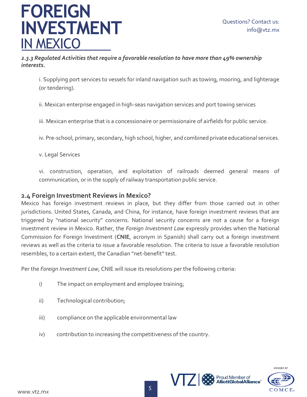#### <span id="page-7-0"></span>*2.3.3 Regulated Activities that require a favorable resolution to have more than 49% ownership interests.*

i. Supplying port services to vessels for inland navigation such as towing, mooring, and lighterage (or tendering).

ii. Mexican enterprise engaged in high-seas navigation services and port towing services

iii. Mexican enterprise that is a concessionaire or permissionaire of airfields for public service.

iv. Pre-school, primary, secondary, high school, higher, and combined private educational services.

v. Legal Services

vi. construction, operation, and exploitation of railroads deemed general means of communication, or in the supply of railway transportation public service.

## <span id="page-7-1"></span>**2.4 Foreign Investment Reviews in Mexico?**

Mexico has foreign investment reviews in place, but they differ from those carried out in other jurisdictions. United States, Canada, and China, for instance, have foreign investment reviews that are triggered by "national security" concerns. National security concerns are not a cause for a foreign investment review in Mexico. Rather, the *Foreign Investment Law* expressly provides when the National Commission for Foreign Investment (**CNIE**, acronym in Spanish) shall carry out a foreign investment reviews as well as the criteria to issue a favorable resolution. The criteria to issue a favorable resolution resembles, to a certain extent, the Canadian "net-benefit" test.

Per the *Foreign Investment Law*, CNIE will issue its resolutions per the following criteria:

- i) The impact on employment and employee training;
- ii) Technological contribution;
- iii) compliance on the applicable environmental law
- iv) contribution to increasing the competitiveness of the country.



Proud Member of<br>**AlliottGlobalAlliance** 

VIZ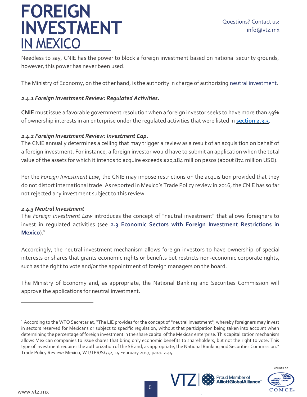Needless to say, CNIE has the power to block a foreign investment based on national security grounds, however, this power has never been used.

The Ministry of Economy, on the other hand, is the authority in charge of authorizing neutral investment.

#### <span id="page-8-0"></span>*2.4.1 Foreign Investment Review: Regulated Activities.*

**CNIE** must issue a favorable government resolution when a foreign investor seeks to have more than 49% of ownership interests in an enterprise under the regulated activities that were listed in **[section 2.3.3.](#page-7-0)**

#### <span id="page-8-1"></span>*2.4.2 Foreign Investment Review: Investment Cap.*

The CNIE annually determines a ceiling that may trigger a review as a result of an acquisition on behalf of a foreign investment. For instance, a foreign investor would have to submit an application when the total value of the assets for which it intends to acquire exceeds \$20,184 million pesos (about 874 million USD).

Per the *Foreign Investment Law*, the CNIE may impose restrictions on the acquisition provided that they do not distort international trade. As reported in Mexico's Trade Policy review in 2016, the CNIE has so far not rejected any investment subject to this review.

#### <span id="page-8-2"></span>*2.4.3 Neutral Investment*

The *Foreign Investment Law* introduces the concept of "neutral investment" that allows foreigners to invest in regulated activities (see **[2.3 Economic Sectors with Foreign Investment Restrictions in](#page-5-2)  [Mexico](#page-5-2)**).<sup>1</sup>

Accordingly, the neutral investment mechanism allows foreign investors to have ownership of special interests or shares that grants economic rights or benefits but restricts non-economic corporate rights, such as the right to vote and/or the appointment of foreign managers on the board.

The Ministry of Economy and, as appropriate, the National Banking and Securities Commission will approve the applications for neutral investment.

<sup>1</sup> According to the WTO Secretariat, "The LIE provides for the concept of "neutral investment", whereby foreigners may invest in sectors reserved for Mexicans or subject to specific regulation, without that participation being taken into account when determining the percentage of foreign investment in the share capital of the Mexican enterprise. This capitalization mechanism allows Mexican companies to issue shares that bring only economic benefits to shareholders, but not the right to vote. This type of investment requires the authorization of the SE and, as appropriate, the National Banking and Securities Commission." Trade Policy Review: Mexico, WT/TPR/S/352, 15 February 2017, para. 2.44.



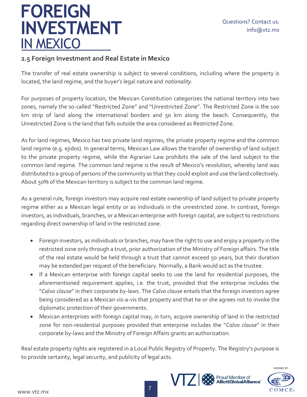## <span id="page-9-0"></span>**2.5 Foreign Investment and Real Estate in Mexico**

The transfer of real estate ownership is subject to several conditions, including where the property is located, the land regime, and the buyer's legal nature and *nationality*.

For purposes of property location, the Mexican Constitution categorizes the national territory into two zones, namely the so-called "Restricted Zone" and "Unrestricted Zone". The Restricted Zone is the 100 km strip of land along the international borders and 50 km along the beach. Consequently, the Unrestricted Zone is the land that falls outside the area considered as Restricted Zone.

As for land regimes, Mexico has two private land regimes, the private property regime and the common land regime (e.g. ejidos). In general terms, Mexican Law allows the transfer of ownership of land subject to the private property regime, while the Agrarian Law prohibits the sale of the land subject to the common land regime. The common land regime is the result of Mexico's revolution, whereby land was distributed to a group of persons of the community so that they could exploit and use the land collectively. About 50% of the Mexican territory is subject to the common land regime.

As a general rule, foreign investors may acquire real estate ownership of land subject to private property regime either as a Mexican legal entity or as individuals in the unrestricted zone. In contrast, foreign investors, as individuals, branches, or a Mexican enterprise with foreign capital, are subject to restrictions regarding direct ownership of land in the restricted zone.

- Foreign investors, as individuals or branches, may have the right to use and enjoy a property in the restricted zone only through a trust, prior authorization of the Ministry of Foreign affairs. The title of the real estate would be held through a trust that cannot exceed 50 years, but their duration may be extended per request of the beneficiary. Normally, a Bank would act as the trustee.
- If a Mexican enterprise with foreign capital seeks to use the land for residential purposes, the aforementioned requirement applies, i.e. the trust, provided that the enterprise includes the "*Calvo clause*" in their corporate by-laws. The *Calvo clause* entails that the foreign investors agree being considered as a Mexican vis-a-vis that property and that he or she agrees not to invoke the diplomatic protection of their governments.
- Mexican enterprises with foreign capital may, in turn, acquire ownership of land in the restricted zone for non-residential purposes provided that enterprise includes the "*Calvo clause*" in their corporate by-laws and the Ministry of Foreign Affairs grants an authorization.

Real estate property rights are registered in a Local Public Registry of Property. The Registry's purpose is to provide certainty, legal security, and publicity of legal acts.

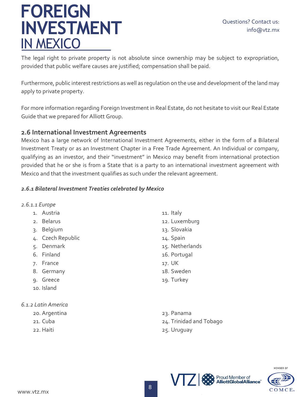Questions? Contact us: info@vtz.mx

The legal right to private property is not absolute since ownership may be subject to expropriation, provided that public welfare causes are justified; compensation shall be paid.

Furthermore, public interest restrictions as well as regulation on the use and development of the land may apply to private property.

For more information regarding Foreign Investment in Real Estate, do not hesitate to visit our Real Estate Guide that we prepared for Alliott Group.

#### <span id="page-10-0"></span>**2.6 International Investment Agreements**

Mexico has a large network of International Investment Agreements, either in the form of a Bilateral Investment Treaty or as an Investment Chapter in a Free Trade Agreement. An Individual or company, qualifying as an investor, and their "investment" in Mexico may benefit from international protection provided that he or she is from a State that is a party to an international investment agreement with Mexico and that the investment qualifies as such under the relevant agreement.

#### <span id="page-10-1"></span>*2.6.1 Bilateral Investment Treaties celebrated by Mexico*

- <span id="page-10-2"></span>*2.6.1.1 Europe*
	- 1. Austria
	- 2. Belarus
	- 3. Belgium
	- 4. Czech Republic
	- 5. Denmark
	- 6. Finland
	- 7. France
	- 8. Germany
	- 9. Greece
	- 10. Island

<span id="page-10-3"></span>*6.1.2 Latin America*

- 20. Argentina
- 21. Cuba
- 22. Haiti
- 11. Italy
- 12. Luxemburg
- 13. Slovakia
- 14. Spain
- 15. Netherlands
- 16. Portugal
- 17. UK
- 18. Sweden
- 19. Turkey
- 23. Panama 24. Trinidad and Tobago 25. Uruguay

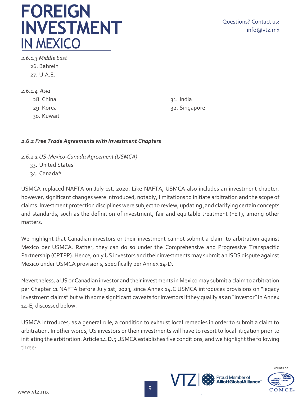<span id="page-11-0"></span>*2.6.1.3 Middle East* 26. Bahrein 27. U.A.E.

*2.6.1.4-Asia*

28. China

29. Korea

30. Kuwait

31. India 32. Singapore

#### <span id="page-11-1"></span>*2.6.2 Free Trade Agreements with Investment Chapters*

<span id="page-11-2"></span>*2.6.2.1 US-Mexico-Canada Agreement (USMCA)*

33. United States

34. Canada\*

USMCA replaced NAFTA on July 1st, 2020. Like NAFTA, USMCA also includes an investment chapter, however, significant changes were introduced, notably, limitations to initiate arbitration and the scope of claims. Investment protection disciplines were subject to review, updating ,and clarifying certain concepts and standards, such as the definition of investment, fair and equitable treatment (FET), among other matters.

We highlight that Canadian investors or their investment cannot submit a claim to arbitration against Mexico per USMCA. Rather, they can do so under the Comprehensive and Progressive Transpacific Partnership (CPTPP). Hence, only US investors and their investments may submit an ISDS dispute against Mexico under USMCA provisions, specifically per Annex 14-D.

Nevertheless, a US or Canadian investor and their investments in Mexico may submit a claim to arbitration per Chapter 11 NAFTA before July 1st, 2023, since Annex 14.C USMCA introduces provisions on "legacy investment claims" but with some significant caveats for investors if they qualify as an "investor" in Annex 14-E, discussed below.

USMCA introduces, as a general rule, a condition to exhaust local remedies in order to submit a claim to arbitration. In other words, US investors or their investments will have to resort to local litigation prior to initiating the arbitration. Article 14.D.5 USMCA establishes five conditions, and we highlight the following three:



**Proud Member of**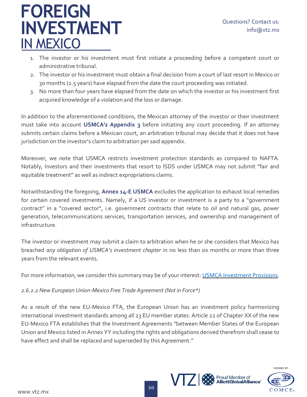- 1. The investor or his investment must first initiate a proceeding before a competent court or administrative tribunal.
- 2. The investor or his investment must obtain a final decision from a court of last resort in Mexico or 30 months (2.5 years) have elapsed from the date the court proceeding was initiated.
- 3. No more than four years have elapsed from the date on which the investor or his investment first acquired knowledge of a violation and the loss or damage.

In addition to the aforementioned conditions, the Mexican attorney of the investor or their investment must take into account **USMCA's Appendix 3** before initiating any court proceeding. If an attorney submits certain claims before a Mexican court, an arbitration tribunal may decide that it does not have jurisdiction on the investor's claim to arbitration per said appendix.

Moreover, we note that USMCA restricts investment protection standards as compared to NAFTA. Notably, Investors and their investments that resort to ISDS under USMCA may not submit "fair and equitable treatment" as well as indirect expropriations claims.

Notwithstanding the foregoing, **Annex 14-E USMCA** excludes the application to exhaust local remedies for certain covered investments. Namely, if a US investor or investment is a party to a "government contract" in a "covered sector", i.e. government contracts that relate to oil and natural gas, power generation, telecommunications services, transportation services, and ownership and management of infrastructure.

The investor or investment may submit a claim to arbitration when he or she considers that Mexico has breached *any obligation of USMCA's investment chapter* in no less than six months or more than three years from the relevant events.

For more information, we consider this summary may be of your interest: [USMCA Investment Provisions.](https://fas.org/sgp/crs/row/IF11167.pdf)

#### <span id="page-12-0"></span>*2.6.2.2 New European Union-Mexico Free Trade Agreement (Not in Force\*)*

As a result of the new EU-Mexico FTA, the European Union has an investment policy harmonizing international investment standards among all 23 EU member states. Article 22 of Chapter XX of the new EU-Mexico FTA establishes that the Investment Agreements "between Member States of the European Union and Mexico listed in Annex YY including the rights and obligations derived therefrom shall cease to have effect and shall be replaced and superseded by this Agreement."



Proud Member of<br>**AlliottGlobalAlliance** 

VTZIS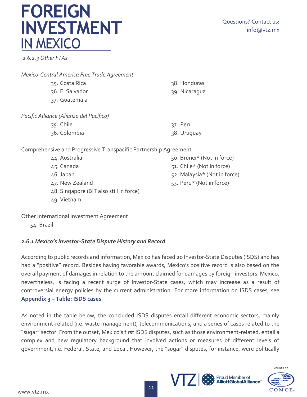<span id="page-13-0"></span>*2.6.2.3 Other FTAs*

*Mexico-Central America Free Trade Agreement*

- 35. Costa Rica 38. Honduras
- 36. El Salvador 39. Nicaragua
- 37. Guatemala

#### *Pacific Alliance (Alianza del Pacífico)*

| 35. Chile    | 37. Peru    |
|--------------|-------------|
| 36. Colombia | 38. Uruguay |

Comprehensive and Progressive Transpacific Partnership Agreement

- 44. Australia 45. Canada 46. Japan 47. New Zealand 48. Singapore (BIT also still in force)
- 49. Vietnam
- 50. Brunei\* (Not in force) 51. Chile\* (Not in force)
- 52. Malaysia\* (Not in force)
- 53. Peru\* (Not in force)

Other International Investment Agreement

54. Brazil

## <span id="page-13-1"></span>*2.6.1 Mexico's Investor-State Dispute History and Record*

According to public records and information, Mexico has faced 20 Investor-State Disputes (ISDS) and has had a "positive" record. Besides having favorable awards, Mexico's positive record is also based on the overall payment of damages in relation to the amount claimed for damages by foreign investors. Mexico, nevertheless, is facing a recent surge of Investor-State cases, which may increase as a result of controversial energy policies by the current administration. For more information on ISDS cases, see **Appendix 3 – [Table: ISDS cases](#page-17-0)**.

As noted in the table below, the concluded ISDS disputes entail different economic sectors, mainly environment-related (i.e. waste management), telecommunications, and a series of cases related to the "sugar" sector. From the outset, Mexico's first ISDS disputes, such as those environment-related, entail a complex and new regulatory background that involved actions or measures of different levels of government, i.e. Federal, State, and Local. However, the "sugar" disputes, for instance, were politically

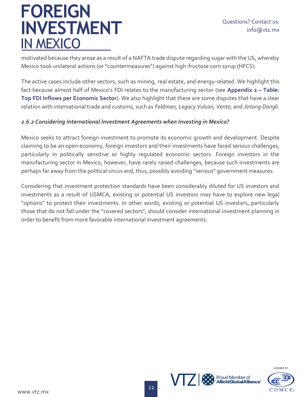Questions? Contact us: info@vtz.mx

motivated because they arose as a result of a NAFTA trade dispute regarding sugar with the US, whereby Mexico took unilateral actions (or "countermeasures") against high-fructose corn syrup (HFCS).

The active cases include other sectors, such as mining, real estate, and energy-related. We highlight this fact because almost half of Mexico's FDI relates to the manufacturing sector (see **[Appendix 2](#page-16-0) – Table: Top [FDI Inflows per Economic Sector](#page-16-0)**). We also highlight that there are some disputes that have a clear relation with international trade and customs, such as *Feldman, Legacy Vulcan, Vento,* and *Jinlong Dongli.*

#### <span id="page-14-0"></span>*2.6.2 Considering International Investment Agreements when Investing in Mexico?*

Mexico seeks to attract foreign investment to promote its economic growth and development. Despite claiming to be an open economy, foreign investors and their investments have faced serious challenges, particularly in politically sensitive or highly regulated economic sectors. Foreign investors in the manufacturing sector in Mexico, however, have rarely raised challenges, because such investments are perhaps far away from the political circus and, thus, possibly avoiding "serious" government measures.

Considering that investment protection standards have been considerably diluted for US investors and investments as a result of USMCA, existing or potential US investors may have to explore new legal "options" to protect their investments. In other words, existing or potential US investors, particularly those that do not fall under the "covered sectors", should consider international investment planning in order to benefit from more favorable international investment agreements.



Proud Member of<br>**AlliottGlobalAlliance** 

VIZI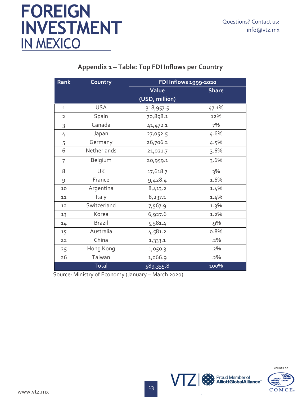<span id="page-15-0"></span>

| <b>Rank</b>    | Country       | FDI Inflows 1999-2020 |              |  |  |
|----------------|---------------|-----------------------|--------------|--|--|
|                |               | Value                 | <b>Share</b> |  |  |
|                |               | (USD, million)        |              |  |  |
| $\mathbf 1$    | <b>USA</b>    | 318,957.5             | 47.1%        |  |  |
| $\overline{2}$ | Spain         | 70,898.1              | 12%          |  |  |
| 3              | Canada        | 41,472.1              | 7%           |  |  |
| 4              | Japan         | 27,052.5              | 4.6%         |  |  |
| 5              | Germany       | 26,706.2              | 4.5%         |  |  |
| 6              | Netherlands   | 21,021.7              | 3.6%         |  |  |
| $\overline{7}$ | Belgium       | 20,959.1              | 3.6%         |  |  |
| 8              | <b>UK</b>     | 17,618.7              | $3\%$        |  |  |
| 9              | France        | 9,428.4               | 1.6%         |  |  |
| 10             | Argentina     | 8,413.2               | 1.4%         |  |  |
| 11             | Italy         | 8,237.1               | 1.4%         |  |  |
| 12             | Switzerland   | 7,567.9               | 1.3%         |  |  |
| 13             | Korea         | 6,927.6               | 1.2%         |  |  |
| 14             | <b>Brazil</b> | 5,581.4               | $.9\%$       |  |  |
| 15             | Australia     | 4,581.2               | 0.8%         |  |  |
| 22             | China         | 1,333.1               | $.2\%$       |  |  |
| 25             | Hong Kong     | 1,050.3               | $.2\%$       |  |  |
| 26             | Taiwan        | 1,066.9               | $.2\%$       |  |  |
|                | Total         | 589,355.8             | 100%         |  |  |

## **Appendix 1 – Table: Top FDI Inflows per Country**

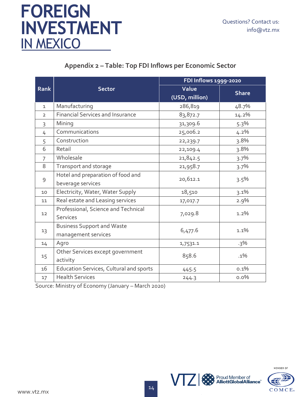## **Appendix 2 – Table: Top FDI Inflows per Economic Sector**

<span id="page-16-0"></span>

|                |                                         | FDI Inflows 1999-2020 |              |  |
|----------------|-----------------------------------------|-----------------------|--------------|--|
| <b>Rank</b>    | <b>Sector</b>                           | Value                 | <b>Share</b> |  |
|                |                                         | (USD, million)        |              |  |
| $\mathbf{1}$   | Manufacturing                           | 286,819               | 48.7%        |  |
| $\overline{2}$ | <b>Financial Services and Insurance</b> | 83,872.7              | 14.2%        |  |
| 3              | Mining                                  | 31,309.6              | 5.3%         |  |
| 4              | Communications                          | 25,006.2              | $4.2\%$      |  |
| 5              | Construction                            | 22,239.7              | 3.8%         |  |
| 6              | Retail                                  | 22,109.4              | 3.8%         |  |
| 7              | Wholesale                               | 21,842.5              | 3.7%         |  |
| 8              | Transport and storage                   | 21,958.7              | 3.7%         |  |
|                | Hotel and preparation of food and       | 20,612.1              |              |  |
| 9              | beverage services                       |                       | 3.5%         |  |
| 10             | Electricity, Water, Water Supply        | 18,510                | 3.1%         |  |
| 11             | Real estate and Leasing services        | 17,017.7              | 2.9%         |  |
| 12             | Professional, Science and Technical     |                       | 1.2%         |  |
|                | <b>Services</b>                         | 7,029.8               |              |  |
|                | <b>Business Support and Waste</b>       | 6,477.6               | 1.1%         |  |
| 13             | management services                     |                       |              |  |
| 14             | Agro                                    | 1,7531.1              | $.3\%$       |  |
|                | Other Services except government        | 858.6                 | $.1\%$       |  |
| 15             | activity                                |                       |              |  |
| 16             | Education Services, Cultural and sports | 445.5                 | 0.1%         |  |
| 17             | <b>Health Services</b>                  | 244.3                 | 0.0%         |  |

Source: Ministry of Economy (January – March 2020)

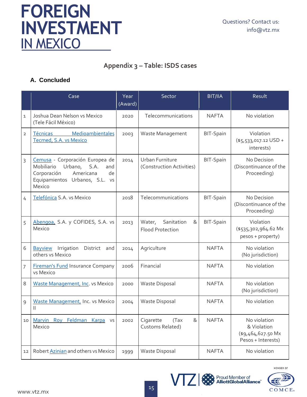## **Appendix 3 – Table: ISDS cases**

## <span id="page-17-0"></span>**A. Concluded**

|                | Case                                                                                                                                                            | Year<br>(Award) | Sector                                               | <b>BIT/IIA</b>   | Result                                                                  |
|----------------|-----------------------------------------------------------------------------------------------------------------------------------------------------------------|-----------------|------------------------------------------------------|------------------|-------------------------------------------------------------------------|
| $\mathbf{1}$   | Joshua Dean Nelson vs Mexico<br>(Tele Fácil México)                                                                                                             | 2020            | Telecommunications                                   | <b>NAFTA</b>     | No violation                                                            |
| $\overline{2}$ | Medioambientales<br><b>Técnicas</b><br>Tecmed, S.A. vs Mexico                                                                                                   | 2003            | Waste Management                                     | <b>BIT-Spain</b> | Violation<br>$(*5,533,017.12$ USD +<br>interests)                       |
| 3              | Cemusa - Corporación Europea de<br>Mobiliario<br>Urbano,<br>S.A.<br>and<br>Americana<br>Corporación<br>de<br>Equipamientos Urbanos, S.L.<br><b>VS</b><br>Mexico | 2014            | Urban Furniture<br>(Construction Activities)         | BIT-Spain        | No Decision<br>(Discontinuance of the<br>Proceeding)                    |
| 4              | Telefónica S.A. vs Mexico                                                                                                                                       | 2018            | Telecommunications                                   | <b>BIT-Spain</b> | No Decision<br>(Discontinuance of the<br>Proceeding)                    |
| 5              | Abengoa, S.A. y COFIDES, S.A. vs<br>Mexico                                                                                                                      | 2013            | Sanitation<br>&<br>Water,<br><b>Flood Protection</b> | <b>BIT-Spain</b> | Violation<br>(\$535,302,964.62 Mx<br>pesos + property)                  |
| 6              | <b>Bayview</b><br>Irrigation<br>District<br>and<br>others vs Mexico                                                                                             | 2014            | Agriculture                                          | <b>NAFTA</b>     | No violation<br>(No jurisdiction)                                       |
| 7              | <b>Fireman's Fund Insurance Company</b><br>vs Mexico                                                                                                            | 2006            | Financial                                            | <b>NAFTA</b>     | No violation                                                            |
| 8              | <b>Waste Management, Inc. vs Mexico</b>                                                                                                                         | 2000            | <b>Waste Disposal</b>                                | <b>NAFTA</b>     | No violation<br>(No jurisdiction)                                       |
| 9              | Waste Management, Inc. vs Mexico<br>Ш                                                                                                                           | 2004            | <b>Waste Disposal</b>                                | <b>NAFTA</b>     | No violation                                                            |
| 10             | Marvin Roy Feldman Karpa vs<br>Mexico                                                                                                                           | 2002            | &<br>Cigarette<br>(Tax<br>Customs Related)           | <b>NAFTA</b>     | No violation<br>& Violation<br>(\$9,464,627.50 Mx<br>Pesos + Interests) |
| 12             | Robert Azinian and others vs Mexico                                                                                                                             | 1999            | <b>Waste Disposal</b>                                | <b>NAFTA</b>     | No violation                                                            |

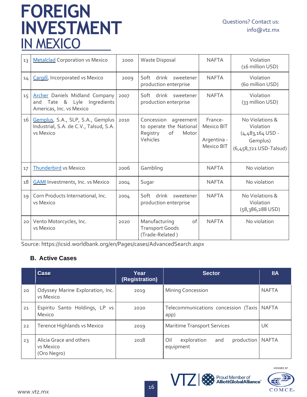| 13 | <b>Metalclad Corporation vs Mexico</b>                                                              | 2000 | <b>Waste Disposal</b>                                                                     | <b>NAFTA</b>                                              | Violation<br>(16 million USD)                                                            |
|----|-----------------------------------------------------------------------------------------------------|------|-------------------------------------------------------------------------------------------|-----------------------------------------------------------|------------------------------------------------------------------------------------------|
| 14 | <b>Cargill</b> , Incorporated vs Mexico                                                             | 2009 | Soft<br>drink<br>sweetener<br>production enterprise                                       | <b>NAFTA</b>                                              | Violation<br>(60 million USD)                                                            |
| 15 | <b>Archer Daniels Midland Company</b><br>Tate & Lyle Ingredients<br>and<br>Americas, Inc. vs Mexico | 2007 | Soft drink sweetener<br>production enterprise                                             | <b>NAFTA</b>                                              | Violation<br>(33 million USD)                                                            |
| 16 | Gemplus, S.A., SLP, S.A., Gemplus<br>Industrial, S.A. de C.V., Talsud, S.A.<br>ys Mexico            | 2010 | Concession<br>agreement<br>to operate the National<br>Registry<br>of<br>Motor<br>Vehicles | France-<br>Mexico BIT<br>Argentina -<br><b>Mexico BIT</b> | No Violations &<br>Violation<br>$(4,483,164$ USD -<br>Gemplus)<br>(6,458,721 USD-Talsud) |
| 17 | <b>Thunderbird vs Mexico</b>                                                                        | 2006 | Gambling                                                                                  | <b>NAFTA</b>                                              | No violation                                                                             |
| 18 | <b>GAMI</b> Investments, Inc. vs Mexico                                                             | 2004 | Sugar                                                                                     | <b>NAFTA</b>                                              | No violation                                                                             |
| 19 | Corn Products International, Inc.<br>vs Mexico                                                      | 2004 | drink sweetener<br>Soft<br>production enterprise                                          | <b>NAFTA</b>                                              | No Violations &<br>Violation<br>$(58,386,288$ USD)                                       |
| 20 | Vento Motorcycles, Inc.<br>vs Mexico                                                                | 2020 | Manufacturing<br>of<br><b>Transport Goods</b><br>(Trade-Related)                          | <b>NAFTA</b>                                              | No violation                                                                             |

Source[: https://icsid.worldbank.org/en/Pages/cases/AdvancedSearch.aspx](https://icsid.worldbank.org/en/Pages/cases/AdvancedSearch.aspx) 

#### **B. Active Cases**

|    | Case                                                | Year<br>(Registration) | <b>Sector</b>                                                | <b>IIA</b>   |
|----|-----------------------------------------------------|------------------------|--------------------------------------------------------------|--------------|
| 20 | Odyssey Marine Exploration, Inc.<br>ys Mexico       | 2019                   | <b>Mining Concession</b>                                     | <b>NAFTA</b> |
| 21 | Espiritu Santo Holdings, LP vs<br>Mexico            | 2020                   | Telecommunications concession (Taxis   NAFTA<br>app)         |              |
| 22 | Terence Highlands vs Mexico                         | 2019                   | <b>Maritime Transport Services</b>                           | UK           |
| 23 | Alicia Grace and others<br>vs Mexico<br>(Oro Negro) | 2018                   | production   NAFTA<br>exploration<br>Oil<br>and<br>equipment |              |

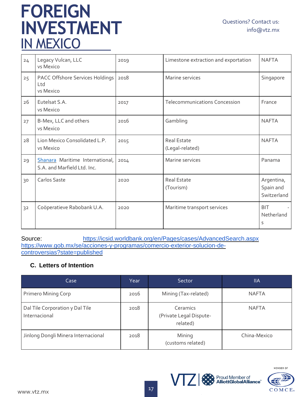| 24             | Legacy Vulcan, LLC<br>vs Mexico                                | 2019 | Limestone extraction and exportation  | <b>NAFTA</b>                           |
|----------------|----------------------------------------------------------------|------|---------------------------------------|----------------------------------------|
| 25             | PACC Offshore Services Holdings<br>Ltd<br>vs Mexico            | 2018 | Marine services                       | Singapore                              |
| 26             | Eutelsat S.A.<br>vs Mexico                                     | 2017 | <b>Telecommunications Concession</b>  | France                                 |
| 27             | B-Mex, LLC and others<br>vs Mexico                             | 2016 | Gambling                              | <b>NAFTA</b>                           |
| 28             | Lion Mexico Consolidated L.P.<br>vs Mexico                     | 2015 | <b>Real Estate</b><br>(Legal-related) | <b>NAFTA</b>                           |
| 29             | Shanara Maritime International,<br>S.A. and Marfield Ltd. Inc. | 2014 | Marine services                       | Panama                                 |
| 30             | Carlos Saste                                                   | 2020 | Real Estate<br>(Tourism)              | Argentina,<br>Spain and<br>Switzerland |
| 3 <sup>2</sup> | Coöperatieve Rabobank U.A.                                     | 2020 | Maritime transport services           | <b>BIT</b><br>Netherland<br>S          |

Source: <https://icsid.worldbank.org/en/Pages/cases/AdvancedSearch.aspx> [https://www.gob.mx/se/acciones-y-programas/comercio-exterior-solucion-de](https://www.gob.mx/se/acciones-y-programas/comercio-exterior-solucion-de-controversias?state=published)[controversias?state=published](https://www.gob.mx/se/acciones-y-programas/comercio-exterior-solucion-de-controversias?state=published)

#### **C. Letters of Intention**

| Case                                             | Year | Sector                                          | <b>IIA</b>   |
|--------------------------------------------------|------|-------------------------------------------------|--------------|
| Primero Mining Corp                              | 2016 | Mining (Tax-related)                            | <b>NAFTA</b> |
| Dal Tile Corporation y Dal Tile<br>Internacional | 2018 | Ceramics<br>(Private Legal Dispute-<br>related) | <b>NAFTA</b> |
| Jinlong Dongli Minera Internacional              | 2018 | Mining<br>(customs related)                     | China-Mexico |

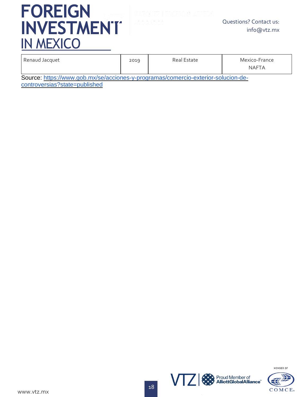| Renaud Jacquet | 2019 | Real Estate | Mexico-France |
|----------------|------|-------------|---------------|
|                |      |             | <b>NAFTA</b>  |

Source: [https://www.gob.mx/se/acciones-y-programas/comercio-exterior-solucion-de](https://www.gob.mx/se/acciones-y-programas/comercio-exterior-solucion-de-controversias?state=published)[controversias?state=published](https://www.gob.mx/se/acciones-y-programas/comercio-exterior-solucion-de-controversias?state=published)